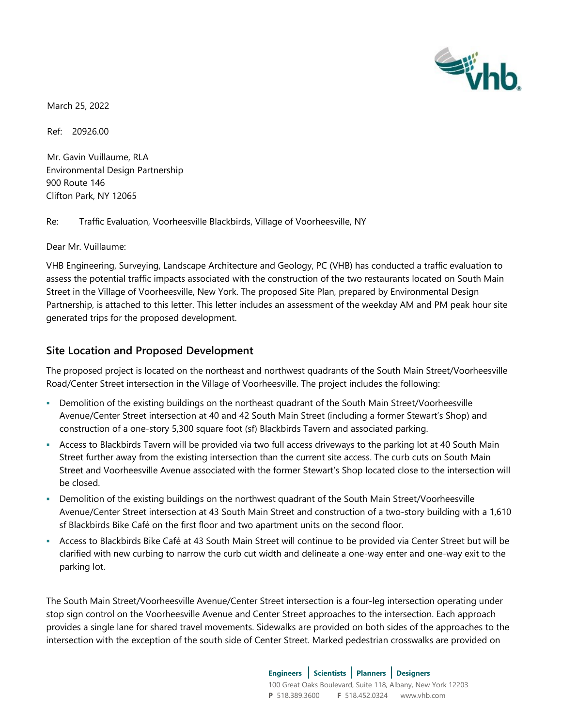

March 25, 2022

Ref: 20926.00

Mr. Gavin Vuillaume, RLA Environmental Design Partnership 900 Route 146 Clifton Park, NY 12065

Re: Traffic Evaluation, Voorheesville Blackbirds, Village of Voorheesville, NY

Dear Mr. Vuillaume:

VHB Engineering, Surveying, Landscape Architecture and Geology, PC (VHB) has conducted a traffic evaluation to assess the potential traffic impacts associated with the construction of the two restaurants located on South Main Street in the Village of Voorheesville, New York. The proposed Site Plan, prepared by Environmental Design Partnership, is attached to this letter. This letter includes an assessment of the weekday AM and PM peak hour site generated trips for the proposed development.

## **Site Location and Proposed Development**

The proposed project is located on the northeast and northwest quadrants of the South Main Street/Voorheesville Road/Center Street intersection in the Village of Voorheesville. The project includes the following:

- Demolition of the existing buildings on the northeast quadrant of the South Main Street/Voorheesville Avenue/Center Street intersection at 40 and 42 South Main Street (including a former Stewart's Shop) and construction of a one-story 5,300 square foot (sf) Blackbirds Tavern and associated parking.
- Access to Blackbirds Tavern will be provided via two full access driveways to the parking lot at 40 South Main Street further away from the existing intersection than the current site access. The curb cuts on South Main Street and Voorheesville Avenue associated with the former Stewart's Shop located close to the intersection will be closed.
- Demolition of the existing buildings on the northwest quadrant of the South Main Street/Voorheesville Avenue/Center Street intersection at 43 South Main Street and construction of a two-story building with a 1,610 sf Blackbirds Bike Café on the first floor and two apartment units on the second floor.
- Access to Blackbirds Bike Café at 43 South Main Street will continue to be provided via Center Street but will be clarified with new curbing to narrow the curb cut width and delineate a one-way enter and one-way exit to the parking lot.

The South Main Street/Voorheesville Avenue/Center Street intersection is a four-leg intersection operating under stop sign control on the Voorheesville Avenue and Center Street approaches to the intersection. Each approach provides a single lane for shared travel movements. Sidewalks are provided on both sides of the approaches to the intersection with the exception of the south side of Center Street. Marked pedestrian crosswalks are provided on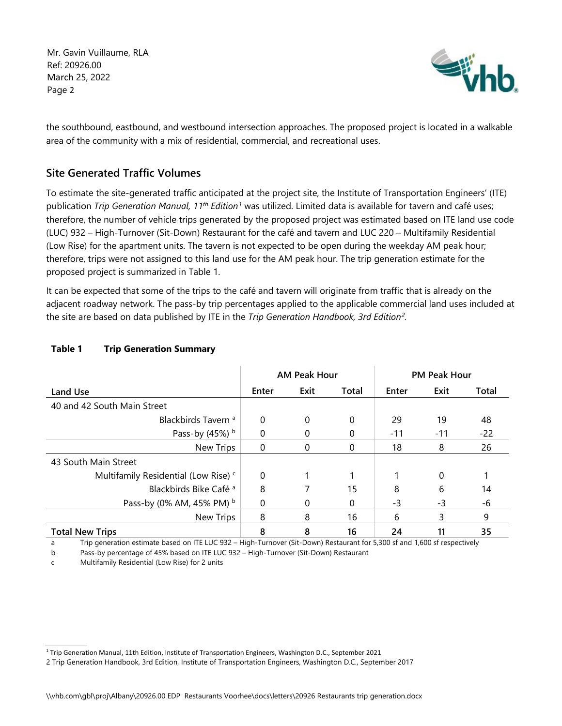Mr. Gavin Vuillaume, RLA Ref: 20926.00 March 25, 2022 Page 2



the southbound, eastbound, and westbound intersection approaches. The proposed project is located in a walkable area of the community with a mix of residential, commercial, and recreational uses.

## **Site Generated Traffic Volumes**

To estimate the site-generated traffic anticipated at the project site, the Institute of Transportation Engineers' (ITE) publication *Trip Generation Manual, 11<sup>th</sup> Edition<sup>1</sup> was utilized. Limited data is available for tavern and café uses;* therefore, the number of vehicle trips generated by the proposed project was estimated based on ITE land use code (LUC) 932 – High-Turnover (Sit-Down) Restaurant for the café and tavern and LUC 220 – Multifamily Residential (Low Rise) for the apartment units. The tavern is not expected to be open during the weekday AM peak hour; therefore, trips were not assigned to this land use for the AM peak hour. The trip generation estimate for the proposed project is summarized in Table 1.

It can be expected that some of the trips to the café and tavern will originate from traffic that is already on the adjacent roadway network. The pass-by trip percentages applied to the applicable commercial land uses included at the site are based on data published by ITE in the *Trip Generation Handbook, 3rd Edition2 .*

|                                                 | <b>AM Peak Hour</b> |      |          | <b>PM Peak Hour</b> |       |       |
|-------------------------------------------------|---------------------|------|----------|---------------------|-------|-------|
| Land Use                                        | Enter               | Exit | Total    | Enter               | Exit  | Total |
| 40 and 42 South Main Street                     |                     |      |          |                     |       |       |
| Blackbirds Tavern <sup>a</sup>                  | $\Omega$            | 0    | $\Omega$ | 29                  | 19    | 48    |
| Pass-by (45%) b                                 | $\Omega$            | 0    | 0        | $-11$               | $-11$ | $-22$ |
| <b>New Trips</b>                                | $\Omega$            | 0    | 0        | 18                  | 8     | 26    |
| 43 South Main Street                            |                     |      |          |                     |       |       |
| Multifamily Residential (Low Rise) <sup>c</sup> | $\Omega$            |      |          |                     | 0     |       |
| Blackbirds Bike Café <sup>a</sup>               | 8                   |      | 15       | 8                   | 6     | 14    |
| Pass-by (0% AM, 45% PM) b                       | $\Omega$            | 0    | 0        | -3                  | -3    | -6    |
| New Trips                                       | 8                   | 8    | 16       | 6                   | 3     | 9     |
| <b>Total New Trips</b>                          | 8                   | 8    | 16       | 24                  | 11    | 35    |

## **Table 1 Trip Generation Summary**

a Trip generation estimate based on ITE LUC 932 – High-Turnover (Sit-Down) Restaurant for 5,300 sf and 1,600 sf respectively

b Pass-by percentage of 45% based on ITE LUC 932 – High-Turnover (Sit-Down) Restaurant

c Multifamily Residential (Low Rise) for 2 units

<sup>1</sup> Trip Generation Manual, 11th Edition, Institute of Transportation Engineers, Washington D.C., September 2021

<sup>2</sup> Trip Generation Handbook, 3rd Edition, Institute of Transportation Engineers, Washington D.C., September 2017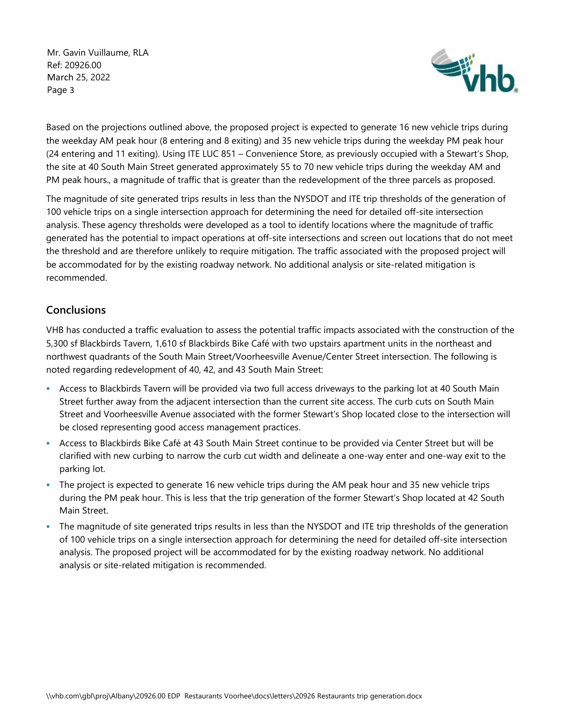Mr. Gavin Vuillaume, RLA Ref: 20926.00 March 25, 2022 Page 3



Based on the projections outlined above, the proposed project is expected to generate 16 new vehicle trips during the weekday AM peak hour (8 entering and 8 exiting) and 35 new vehicle trips during the weekday PM peak hour (24 entering and 11 exiting). Using ITE LUC 851 – Convenience Store, as previously occupied with a Stewart's Shop, the site at 40 South Main Street generated approximately 55 to 70 new vehicle trips during the weekday AM and PM peak hours., a magnitude of traffic that is greater than the redevelopment of the three parcels as proposed.

The magnitude of site generated trips results in less than the NYSDOT and ITE trip thresholds of the generation of 100 vehicle trips on a single intersection approach for determining the need for detailed off-site intersection analysis. These agency thresholds were developed as a tool to identify locations where the magnitude of traffic generated has the potential to impact operations at off-site intersections and screen out locations that do not meet the threshold and are therefore unlikely to require mitigation. The traffic associated with the proposed project will be accommodated for by the existing roadway network. No additional analysis or site-related mitigation is recommended.

## **Conclusions**

VHB has conducted a traffic evaluation to assess the potential traffic impacts associated with the construction of the 5,300 sf Blackbirds Tavern, 1,610 sf Blackbirds Bike Café with two upstairs apartment units in the northeast and northwest quadrants of the South Main Street/Voorheesville Avenue/Center Street intersection. The following is noted regarding redevelopment of 40, 42, and 43 South Main Street:

- Access to Blackbirds Tavern will be provided via two full access driveways to the parking lot at 40 South Main Street further away from the adjacent intersection than the current site access. The curb cuts on South Main Street and Voorheesville Avenue associated with the former Stewart's Shop located close to the intersection will be closed representing good access management practices.
- Access to Blackbirds Bike Café at 43 South Main Street continue to be provided via Center Street but will be clarified with new curbing to narrow the curb cut width and delineate a one-way enter and one-way exit to the parking lot.
- The project is expected to generate 16 new vehicle trips during the AM peak hour and 35 new vehicle trips during the PM peak hour. This is less that the trip generation of the former Stewart's Shop located at 42 South Main Street.
- The magnitude of site generated trips results in less than the NYSDOT and ITE trip thresholds of the generation of 100 vehicle trips on a single intersection approach for determining the need for detailed off-site intersection analysis. The proposed project will be accommodated for by the existing roadway network. No additional analysis or site-related mitigation is recommended.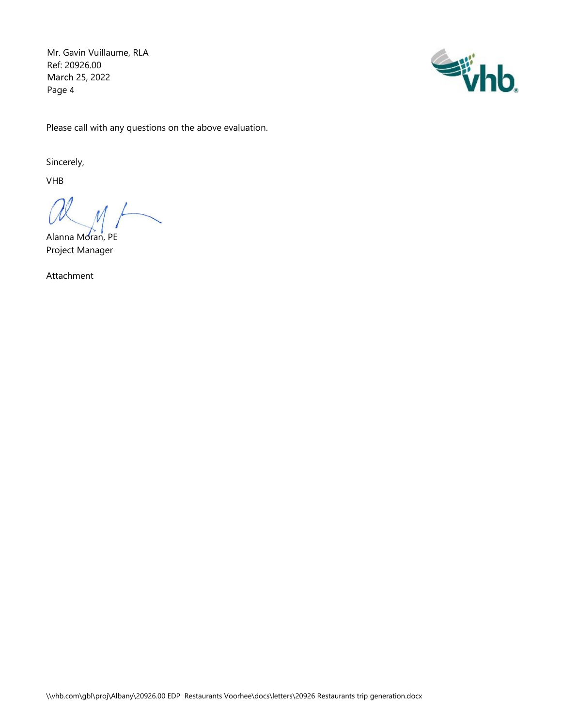Mr. Gavin Vuillaume, RLA Ref: 20926.00 March 25, 2022 Page 4



Please call with any questions on the above evaluation.

Sincerely,

VHB

Alanna Moran, PE Project Manager

Attachment